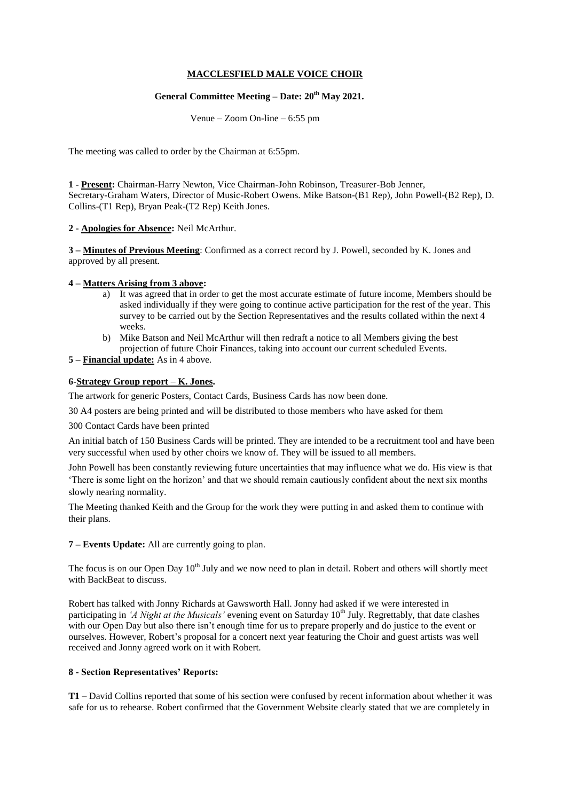## **MACCLESFIELD MALE VOICE CHOIR**

# **General Committee Meeting – Date: 20th May 2021.**

Venue – Zoom On-line – 6:55 pm

The meeting was called to order by the Chairman at 6:55pm.

**1 - Present:** Chairman-Harry Newton, Vice Chairman-John Robinson, Treasurer-Bob Jenner, Secretary-Graham Waters, Director of Music-Robert Owens. Mike Batson-(B1 Rep), John Powell-(B2 Rep), D. Collins-(T1 Rep), Bryan Peak-(T2 Rep) Keith Jones.

### **2 - Apologies for Absence:** Neil McArthur.

**3 – Minutes of Previous Meeting**: Confirmed as a correct record by J. Powell, seconded by K. Jones and approved by all present.

### **4 – Matters Arising from 3 above:**

- a) It was agreed that in order to get the most accurate estimate of future income, Members should be asked individually if they were going to continue active participation for the rest of the year. This survey to be carried out by the Section Representatives and the results collated within the next 4 weeks.
- b) Mike Batson and Neil McArthur will then redraft a notice to all Members giving the best projection of future Choir Finances, taking into account our current scheduled Events.

### **5 – Financial update:** As in 4 above.

### **6-Strategy Group report** – **K. Jones.**

The artwork for generic Posters, Contact Cards, Business Cards has now been done.

30 A4 posters are being printed and will be distributed to those members who have asked for them

300 Contact Cards have been printed

An initial batch of 150 Business Cards will be printed. They are intended to be a recruitment tool and have been very successful when used by other choirs we know of. They will be issued to all members.

John Powell has been constantly reviewing future uncertainties that may influence what we do. His view is that 'There is some light on the horizon' and that we should remain cautiously confident about the next six months slowly nearing normality.

The Meeting thanked Keith and the Group for the work they were putting in and asked them to continue with their plans.

**7 – Events Update:** All are currently going to plan.

The focus is on our Open Day 10<sup>th</sup> July and we now need to plan in detail. Robert and others will shortly meet with BackBeat to discuss.

Robert has talked with Jonny Richards at Gawsworth Hall. Jonny had asked if we were interested in participating in *'A Night at the Musicals'* evening event on Saturday 10<sup>th</sup> July. Regrettably, that date clashes with our Open Day but also there isn't enough time for us to prepare properly and do justice to the event or ourselves. However, Robert's proposal for a concert next year featuring the Choir and guest artists was well received and Jonny agreed work on it with Robert.

#### **8 - Section Representatives' Reports:**

**T1** – David Collins reported that some of his section were confused by recent information about whether it was safe for us to rehearse. Robert confirmed that the Government Website clearly stated that we are completely in